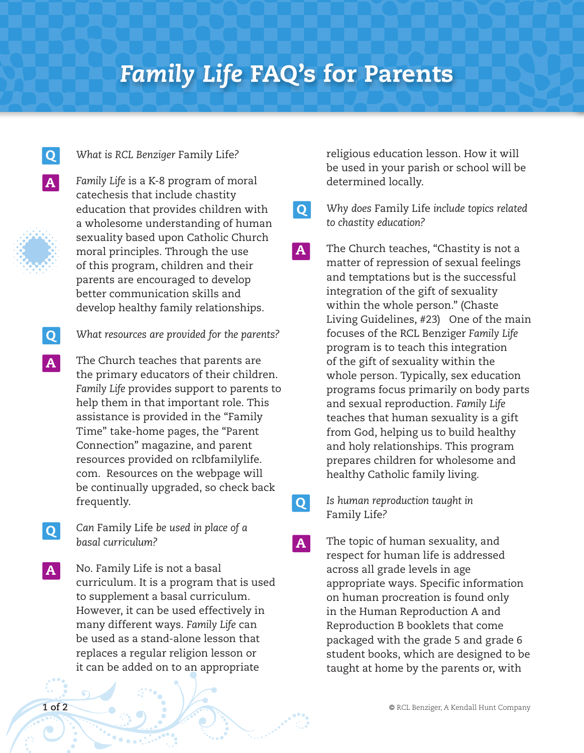## *Family Life* FAQ's for Parents

**O** 

**Q** 

A



A

## *What is RCL Benziger* Family Life*?*



*Family Life* is a K-8 program of moral catechesis that include chastity education that provides children with a wholesome understanding of human sexuality based upon Catholic Church moral principles. Through the use of this program, children and their parents are encouraged to develop better communication skills and develop healthy family relationships.

- *What resources are provided for the parents?* Q
- The Church teaches that parents are the primary educators of their children. *Family Life* provides support to parents to help them in that important role. This assistance is provided in the "Family Time" take-home pages, the "Parent Connection" magazine, and parent resources provided on rclbfamilylife. com. Resources on the webpage will be continually upgraded, so check back frequently.  $\vert$  A $\vert$
- *Can* Family Life *be used in place of a basal curriculum?* **Q**
- No. Family Life is not a basal curriculum. It is a program that is used to supplement a basal curriculum. However, it can be used effectively in many different ways. *Family Life* can be used as a stand-alone lesson that replaces a regular religion lesson or it can be added on to an appropriate A

religious education lesson. How it will be used in your parish or school will be determined locally.

*Why does* Family Life *include topics related to chastity education?*

The Church teaches, "Chastity is not a matter of repression of sexual feelings and temptations but is the successful integration of the gift of sexuality within the whole person." (Chaste Living Guidelines, #23) One of the main focuses of the RCL Benziger *Family Life* program is to teach this integration of the gift of sexuality within the whole person. Typically, sex education programs focus primarily on body parts and sexual reproduction. *Family Life* teaches that human sexuality is a gift from God, helping us to build healthy and holy relationships. This program prepares children for wholesome and healthy Catholic family living. A

> *Is human reproduction taught in*  Family Life*?*

The topic of human sexuality, and respect for human life is addressed across all grade levels in age appropriate ways. Specific information on human procreation is found only in the Human Reproduction A and Reproduction B booklets that come packaged with the grade 5 and grade 6 student books, which are designed to be taught at home by the parents or, with